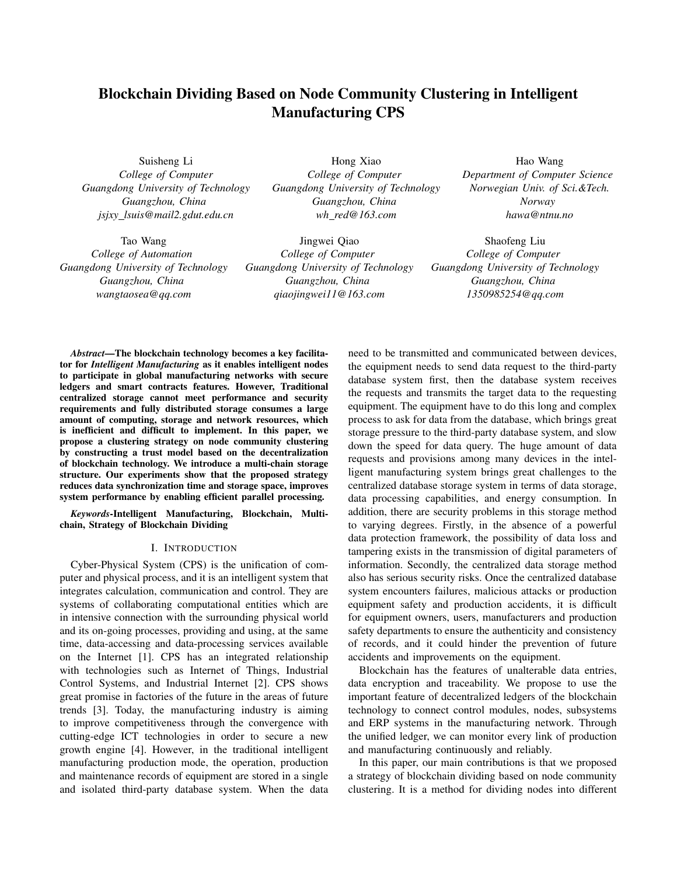# Blockchain Dividing Based on Node Community Clustering in Intelligent Manufacturing CPS

Suisheng Li *College of Computer Guangdong University of Technology Guangzhou, China jsjxy lsuis@mail2.gdut.edu.cn*

Tao Wang *College of Automation Guangdong University of Technology Guangzhou, China wangtaosea@qq.com*

Hong Xiao *College of Computer Guangdong University of Technology Guangzhou, China wh red@163.com*

Jingwei Qiao *College of Computer Guangdong University of Technology Guangzhou, China qiaojingwei11@163.com*

Hao Wang *Department of Computer Science Norwegian Univ. of Sci.&Tech. Norway hawa@ntnu.no*

Shaofeng Liu *College of Computer Guangdong University of Technology Guangzhou, China 1350985254@qq.com*

*Abstract*—The blockchain technology becomes a key facilitator for *Intelligent Manufacturing* as it enables intelligent nodes to participate in global manufacturing networks with secure ledgers and smart contracts features. However, Traditional centralized storage cannot meet performance and security requirements and fully distributed storage consumes a large amount of computing, storage and network resources, which is inefficient and difficult to implement. In this paper, we propose a clustering strategy on node community clustering by constructing a trust model based on the decentralization of blockchain technology. We introduce a multi-chain storage structure. Our experiments show that the proposed strategy reduces data synchronization time and storage space, improves system performance by enabling efficient parallel processing.

*Keywords*-Intelligent Manufacturing, Blockchain, Multichain, Strategy of Blockchain Dividing

#### I. INTRODUCTION

Cyber-Physical System (CPS) is the unification of computer and physical process, and it is an intelligent system that integrates calculation, communication and control. They are systems of collaborating computational entities which are in intensive connection with the surrounding physical world and its on-going processes, providing and using, at the same time, data-accessing and data-processing services available on the Internet [1]. CPS has an integrated relationship with technologies such as Internet of Things, Industrial Control Systems, and Industrial Internet [2]. CPS shows great promise in factories of the future in the areas of future trends [3]. Today, the manufacturing industry is aiming to improve competitiveness through the convergence with cutting-edge ICT technologies in order to secure a new growth engine [4]. However, in the traditional intelligent manufacturing production mode, the operation, production and maintenance records of equipment are stored in a single and isolated third-party database system. When the data need to be transmitted and communicated between devices, the equipment needs to send data request to the third-party database system first, then the database system receives the requests and transmits the target data to the requesting equipment. The equipment have to do this long and complex process to ask for data from the database, which brings great storage pressure to the third-party database system, and slow down the speed for data query. The huge amount of data requests and provisions among many devices in the intelligent manufacturing system brings great challenges to the centralized database storage system in terms of data storage, data processing capabilities, and energy consumption. In addition, there are security problems in this storage method to varying degrees. Firstly, in the absence of a powerful data protection framework, the possibility of data loss and tampering exists in the transmission of digital parameters of information. Secondly, the centralized data storage method also has serious security risks. Once the centralized database system encounters failures, malicious attacks or production equipment safety and production accidents, it is difficult for equipment owners, users, manufacturers and production safety departments to ensure the authenticity and consistency of records, and it could hinder the prevention of future accidents and improvements on the equipment.

Blockchain has the features of unalterable data entries, data encryption and traceability. We propose to use the important feature of decentralized ledgers of the blockchain technology to connect control modules, nodes, subsystems and ERP systems in the manufacturing network. Through the unified ledger, we can monitor every link of production and manufacturing continuously and reliably.

In this paper, our main contributions is that we proposed a strategy of blockchain dividing based on node community clustering. It is a method for dividing nodes into different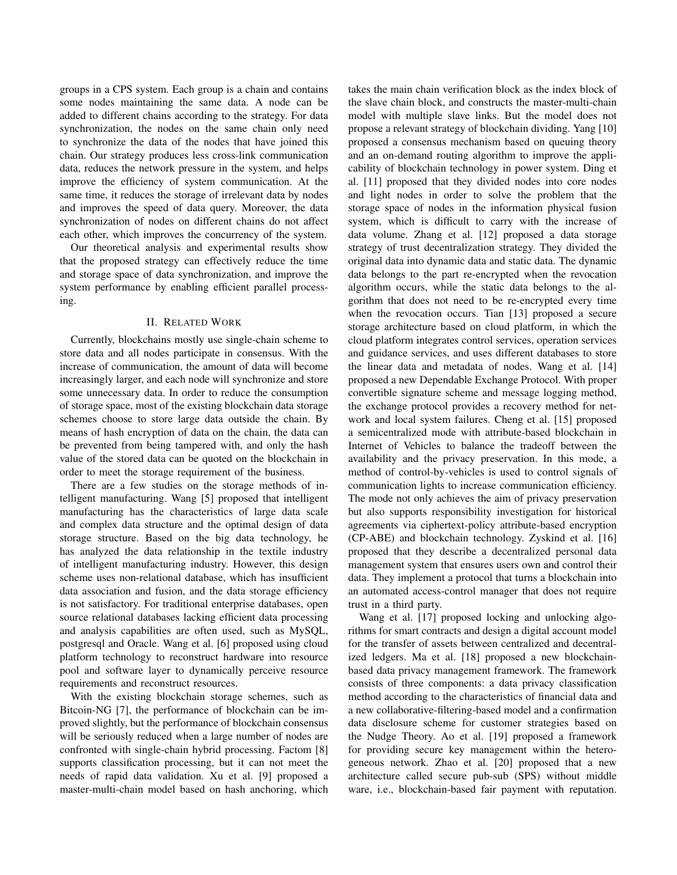groups in a CPS system. Each group is a chain and contains some nodes maintaining the same data. A node can be added to different chains according to the strategy. For data synchronization, the nodes on the same chain only need to synchronize the data of the nodes that have joined this chain. Our strategy produces less cross-link communication data, reduces the network pressure in the system, and helps improve the efficiency of system communication. At the same time, it reduces the storage of irrelevant data by nodes and improves the speed of data query. Moreover, the data synchronization of nodes on different chains do not affect each other, which improves the concurrency of the system.

Our theoretical analysis and experimental results show that the proposed strategy can effectively reduce the time and storage space of data synchronization, and improve the system performance by enabling efficient parallel processing.

#### II. RELATED WORK

Currently, blockchains mostly use single-chain scheme to store data and all nodes participate in consensus. With the increase of communication, the amount of data will become increasingly larger, and each node will synchronize and store some unnecessary data. In order to reduce the consumption of storage space, most of the existing blockchain data storage schemes choose to store large data outside the chain. By means of hash encryption of data on the chain, the data can be prevented from being tampered with, and only the hash value of the stored data can be quoted on the blockchain in order to meet the storage requirement of the business.

There are a few studies on the storage methods of intelligent manufacturing. Wang [5] proposed that intelligent manufacturing has the characteristics of large data scale and complex data structure and the optimal design of data storage structure. Based on the big data technology, he has analyzed the data relationship in the textile industry of intelligent manufacturing industry. However, this design scheme uses non-relational database, which has insufficient data association and fusion, and the data storage efficiency is not satisfactory. For traditional enterprise databases, open source relational databases lacking efficient data processing and analysis capabilities are often used, such as MySQL, postgresql and Oracle. Wang et al. [6] proposed using cloud platform technology to reconstruct hardware into resource pool and software layer to dynamically perceive resource requirements and reconstruct resources.

With the existing blockchain storage schemes, such as Bitcoin-NG [7], the performance of blockchain can be improved slightly, but the performance of blockchain consensus will be seriously reduced when a large number of nodes are confronted with single-chain hybrid processing. Factom [8] supports classification processing, but it can not meet the needs of rapid data validation. Xu et al. [9] proposed a master-multi-chain model based on hash anchoring, which takes the main chain verification block as the index block of the slave chain block, and constructs the master-multi-chain model with multiple slave links. But the model does not propose a relevant strategy of blockchain dividing. Yang [10] proposed a consensus mechanism based on queuing theory and an on-demand routing algorithm to improve the applicability of blockchain technology in power system. Ding et al. [11] proposed that they divided nodes into core nodes and light nodes in order to solve the problem that the storage space of nodes in the information physical fusion system, which is difficult to carry with the increase of data volume. Zhang et al. [12] proposed a data storage strategy of trust decentralization strategy. They divided the original data into dynamic data and static data. The dynamic data belongs to the part re-encrypted when the revocation algorithm occurs, while the static data belongs to the algorithm that does not need to be re-encrypted every time when the revocation occurs. Tian [13] proposed a secure storage architecture based on cloud platform, in which the cloud platform integrates control services, operation services and guidance services, and uses different databases to store the linear data and metadata of nodes. Wang et al. [14] proposed a new Dependable Exchange Protocol. With proper convertible signature scheme and message logging method, the exchange protocol provides a recovery method for network and local system failures. Cheng et al. [15] proposed a semicentralized mode with attribute-based blockchain in Internet of Vehicles to balance the tradeoff between the availability and the privacy preservation. In this mode, a method of control-by-vehicles is used to control signals of communication lights to increase communication efficiency. The mode not only achieves the aim of privacy preservation but also supports responsibility investigation for historical agreements via ciphertext-policy attribute-based encryption (CP-ABE) and blockchain technology. Zyskind et al. [16] proposed that they describe a decentralized personal data management system that ensures users own and control their data. They implement a protocol that turns a blockchain into an automated access-control manager that does not require trust in a third party.

Wang et al. [17] proposed locking and unlocking algorithms for smart contracts and design a digital account model for the transfer of assets between centralized and decentralized ledgers. Ma et al. [18] proposed a new blockchainbased data privacy management framework. The framework consists of three components: a data privacy classification method according to the characteristics of financial data and a new collaborative-filtering-based model and a confirmation data disclosure scheme for customer strategies based on the Nudge Theory. Ao et al. [19] proposed a framework for providing secure key management within the heterogeneous network. Zhao et al. [20] proposed that a new architecture called secure pub-sub (SPS) without middle ware, i.e., blockchain-based fair payment with reputation.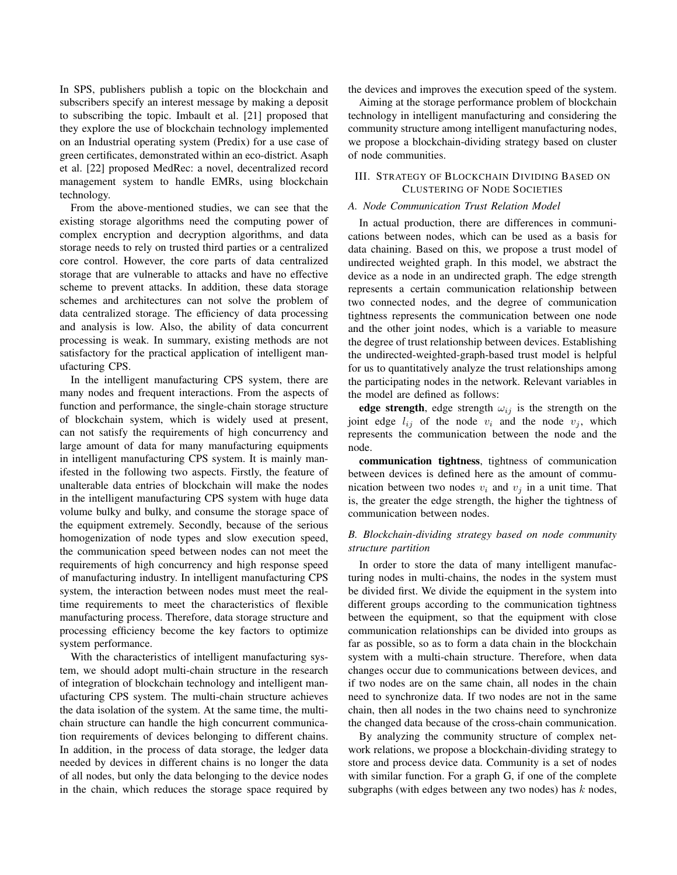In SPS, publishers publish a topic on the blockchain and subscribers specify an interest message by making a deposit to subscribing the topic. Imbault et al. [21] proposed that they explore the use of blockchain technology implemented on an Industrial operating system (Predix) for a use case of green certificates, demonstrated within an eco-district. Asaph et al. [22] proposed MedRec: a novel, decentralized record management system to handle EMRs, using blockchain technology.

From the above-mentioned studies, we can see that the existing storage algorithms need the computing power of complex encryption and decryption algorithms, and data storage needs to rely on trusted third parties or a centralized core control. However, the core parts of data centralized storage that are vulnerable to attacks and have no effective scheme to prevent attacks. In addition, these data storage schemes and architectures can not solve the problem of data centralized storage. The efficiency of data processing and analysis is low. Also, the ability of data concurrent processing is weak. In summary, existing methods are not satisfactory for the practical application of intelligent manufacturing CPS.

In the intelligent manufacturing CPS system, there are many nodes and frequent interactions. From the aspects of function and performance, the single-chain storage structure of blockchain system, which is widely used at present, can not satisfy the requirements of high concurrency and large amount of data for many manufacturing equipments in intelligent manufacturing CPS system. It is mainly manifested in the following two aspects. Firstly, the feature of unalterable data entries of blockchain will make the nodes in the intelligent manufacturing CPS system with huge data volume bulky and bulky, and consume the storage space of the equipment extremely. Secondly, because of the serious homogenization of node types and slow execution speed, the communication speed between nodes can not meet the requirements of high concurrency and high response speed of manufacturing industry. In intelligent manufacturing CPS system, the interaction between nodes must meet the realtime requirements to meet the characteristics of flexible manufacturing process. Therefore, data storage structure and processing efficiency become the key factors to optimize system performance.

With the characteristics of intelligent manufacturing system, we should adopt multi-chain structure in the research of integration of blockchain technology and intelligent manufacturing CPS system. The multi-chain structure achieves the data isolation of the system. At the same time, the multichain structure can handle the high concurrent communication requirements of devices belonging to different chains. In addition, in the process of data storage, the ledger data needed by devices in different chains is no longer the data of all nodes, but only the data belonging to the device nodes in the chain, which reduces the storage space required by the devices and improves the execution speed of the system.

Aiming at the storage performance problem of blockchain technology in intelligent manufacturing and considering the community structure among intelligent manufacturing nodes, we propose a blockchain-dividing strategy based on cluster of node communities.

## III. STRATEGY OF BLOCKCHAIN DIVIDING BASED ON CLUSTERING OF NODE SOCIETIES

### *A. Node Communication Trust Relation Model*

In actual production, there are differences in communications between nodes, which can be used as a basis for data chaining. Based on this, we propose a trust model of undirected weighted graph. In this model, we abstract the device as a node in an undirected graph. The edge strength represents a certain communication relationship between two connected nodes, and the degree of communication tightness represents the communication between one node and the other joint nodes, which is a variable to measure the degree of trust relationship between devices. Establishing the undirected-weighted-graph-based trust model is helpful for us to quantitatively analyze the trust relationships among the participating nodes in the network. Relevant variables in the model are defined as follows:

edge strength, edge strength  $\omega_{ij}$  is the strength on the joint edge  $l_{ij}$  of the node  $v_i$  and the node  $v_j$ , which represents the communication between the node and the node.

communication tightness, tightness of communication between devices is defined here as the amount of communication between two nodes  $v_i$  and  $v_j$  in a unit time. That is, the greater the edge strength, the higher the tightness of communication between nodes.

## *B. Blockchain-dividing strategy based on node community structure partition*

In order to store the data of many intelligent manufacturing nodes in multi-chains, the nodes in the system must be divided first. We divide the equipment in the system into different groups according to the communication tightness between the equipment, so that the equipment with close communication relationships can be divided into groups as far as possible, so as to form a data chain in the blockchain system with a multi-chain structure. Therefore, when data changes occur due to communications between devices, and if two nodes are on the same chain, all nodes in the chain need to synchronize data. If two nodes are not in the same chain, then all nodes in the two chains need to synchronize the changed data because of the cross-chain communication.

By analyzing the community structure of complex network relations, we propose a blockchain-dividing strategy to store and process device data. Community is a set of nodes with similar function. For a graph G, if one of the complete subgraphs (with edges between any two nodes) has  $k$  nodes,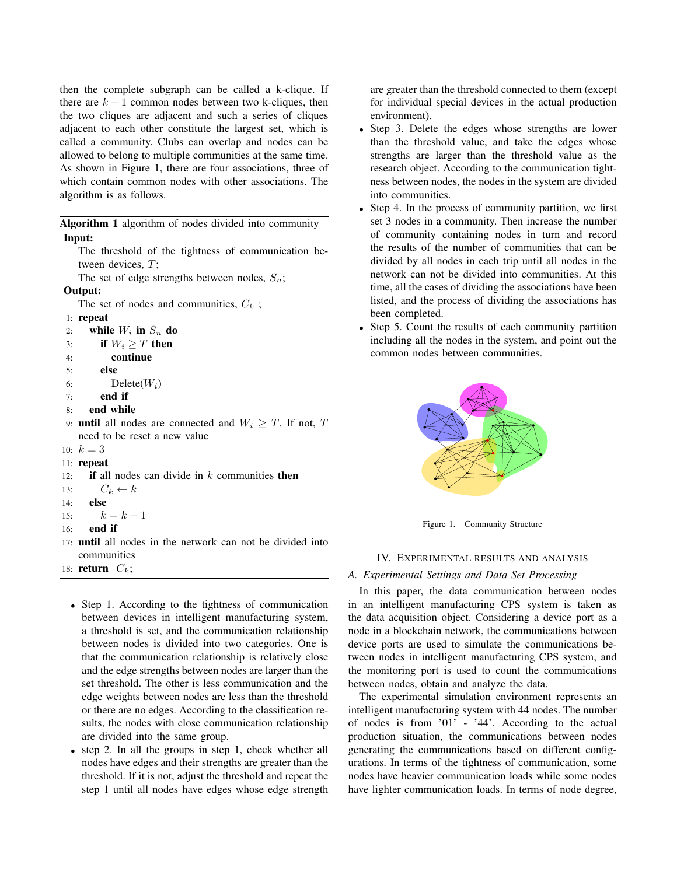then the complete subgraph can be called a k-clique. If there are  $k - 1$  common nodes between two k-cliques, then the two cliques are adjacent and such a series of cliques adjacent to each other constitute the largest set, which is called a community. Clubs can overlap and nodes can be allowed to belong to multiple communities at the same time. As shown in Figure 1, there are four associations, three of which contain common nodes with other associations. The algorithm is as follows.

| Algorithm 1 algorithm of nodes divided into community                |           |
|----------------------------------------------------------------------|-----------|
| Input:                                                               |           |
| The threshold of the tightness of communication be-                  |           |
| tween devices, $T$ ;                                                 |           |
| The set of edge strengths between nodes, $S_n$ ;                     |           |
| Output:                                                              |           |
| The set of nodes and communities, $C_k$ ;                            |           |
| $1:$ repeat                                                          |           |
| while $W_i$ in $S_n$ do<br>2:                                        |           |
| if $W_i \geq T$ then<br>3:                                           |           |
| continue<br>4:                                                       |           |
| 5: else                                                              |           |
| $Delete(W_i)$<br>6:                                                  |           |
| $7:$ end if                                                          |           |
| 8: end while                                                         |           |
| 9: <b>until</b> all nodes are connected and $W_i \geq T$ . If not, T |           |
| need to be reset a new value                                         |           |
| 10: $k=3$                                                            |           |
| $11:$ repeat                                                         |           |
| if all nodes can divide in $k$ communities then<br>12:               |           |
| 13: $C_k \leftarrow k$                                               |           |
| 14: <b>else</b>                                                      |           |
| 15: $k = k + 1$                                                      |           |
| $16:$ end if                                                         |           |
| 17: <b>until</b> all nodes in the network can not be divided into    |           |
| communities                                                          |           |
| 18: <b>return</b> $C_k$ ;                                            | $\lambda$ |

- Step 1. According to the tightness of communication between devices in intelligent manufacturing system, a threshold is set, and the communication relationship between nodes is divided into two categories. One is that the communication relationship is relatively close and the edge strengths between nodes are larger than the set threshold. The other is less communication and the edge weights between nodes are less than the threshold or there are no edges. According to the classification results, the nodes with close communication relationship are divided into the same group.
- step 2. In all the groups in step 1, check whether all nodes have edges and their strengths are greater than the threshold. If it is not, adjust the threshold and repeat the step 1 until all nodes have edges whose edge strength

are greater than the threshold connected to them (except for individual special devices in the actual production environment).

- Step 3. Delete the edges whose strengths are lower than the threshold value, and take the edges whose strengths are larger than the threshold value as the research object. According to the communication tightness between nodes, the nodes in the system are divided into communities.
- Step 4. In the process of community partition, we first set 3 nodes in a community. Then increase the number of community containing nodes in turn and record the results of the number of communities that can be divided by all nodes in each trip until all nodes in the network can not be divided into communities. At this time, all the cases of dividing the associations have been listed, and the process of dividing the associations has been completed.
- Step 5. Count the results of each community partition including all the nodes in the system, and point out the common nodes between communities.



Figure 1. Community Structure

## IV. EXPERIMENTAL RESULTS AND ANALYSIS

## *A. Experimental Settings and Data Set Processing*

In this paper, the data communication between nodes in an intelligent manufacturing CPS system is taken as the data acquisition object. Considering a device port as a node in a blockchain network, the communications between device ports are used to simulate the communications between nodes in intelligent manufacturing CPS system, and the monitoring port is used to count the communications between nodes, obtain and analyze the data.

The experimental simulation environment represents an intelligent manufacturing system with 44 nodes. The number of nodes is from '01' - '44'. According to the actual production situation, the communications between nodes generating the communications based on different configurations. In terms of the tightness of communication, some nodes have heavier communication loads while some nodes have lighter communication loads. In terms of node degree,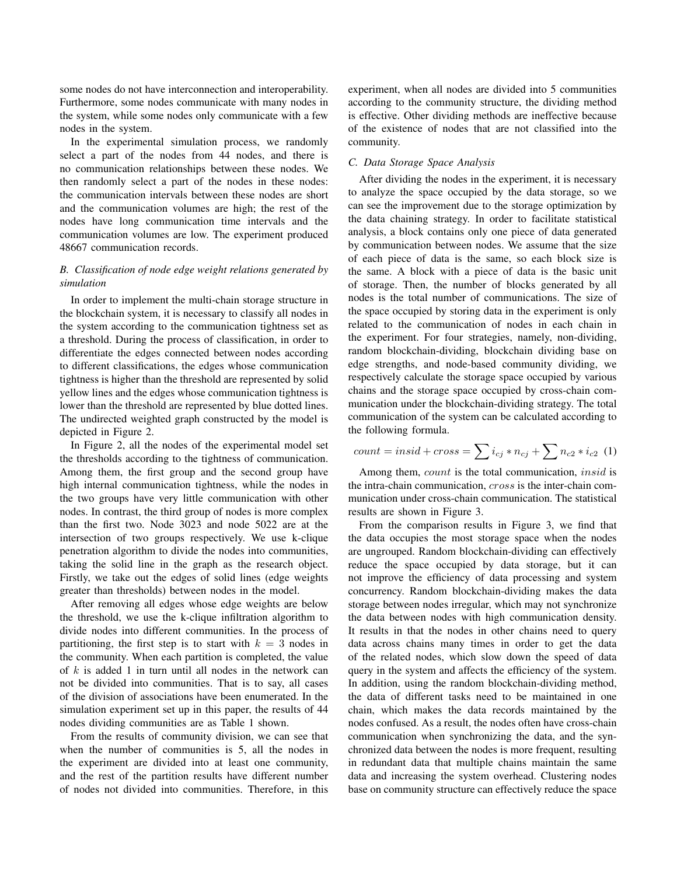some nodes do not have interconnection and interoperability. Furthermore, some nodes communicate with many nodes in the system, while some nodes only communicate with a few nodes in the system.

In the experimental simulation process, we randomly select a part of the nodes from 44 nodes, and there is no communication relationships between these nodes. We then randomly select a part of the nodes in these nodes: the communication intervals between these nodes are short and the communication volumes are high; the rest of the nodes have long communication time intervals and the communication volumes are low. The experiment produced 48667 communication records.

## *B. Classification of node edge weight relations generated by simulation*

In order to implement the multi-chain storage structure in the blockchain system, it is necessary to classify all nodes in the system according to the communication tightness set as a threshold. During the process of classification, in order to differentiate the edges connected between nodes according to different classifications, the edges whose communication tightness is higher than the threshold are represented by solid yellow lines and the edges whose communication tightness is lower than the threshold are represented by blue dotted lines. The undirected weighted graph constructed by the model is depicted in Figure 2.

In Figure 2, all the nodes of the experimental model set the thresholds according to the tightness of communication. Among them, the first group and the second group have high internal communication tightness, while the nodes in the two groups have very little communication with other nodes. In contrast, the third group of nodes is more complex than the first two. Node 3023 and node 5022 are at the intersection of two groups respectively. We use k-clique penetration algorithm to divide the nodes into communities, taking the solid line in the graph as the research object. Firstly, we take out the edges of solid lines (edge weights greater than thresholds) between nodes in the model.

After removing all edges whose edge weights are below the threshold, we use the k-clique infiltration algorithm to divide nodes into different communities. In the process of partitioning, the first step is to start with  $k = 3$  nodes in the community. When each partition is completed, the value of  $k$  is added 1 in turn until all nodes in the network can not be divided into communities. That is to say, all cases of the division of associations have been enumerated. In the simulation experiment set up in this paper, the results of 44 nodes dividing communities are as Table 1 shown.

From the results of community division, we can see that when the number of communities is 5, all the nodes in the experiment are divided into at least one community, and the rest of the partition results have different number of nodes not divided into communities. Therefore, in this experiment, when all nodes are divided into 5 communities according to the community structure, the dividing method is effective. Other dividing methods are ineffective because of the existence of nodes that are not classified into the community.

#### *C. Data Storage Space Analysis*

After dividing the nodes in the experiment, it is necessary to analyze the space occupied by the data storage, so we can see the improvement due to the storage optimization by the data chaining strategy. In order to facilitate statistical analysis, a block contains only one piece of data generated by communication between nodes. We assume that the size of each piece of data is the same, so each block size is the same. A block with a piece of data is the basic unit of storage. Then, the number of blocks generated by all nodes is the total number of communications. The size of the space occupied by storing data in the experiment is only related to the communication of nodes in each chain in the experiment. For four strategies, namely, non-dividing, random blockchain-dividing, blockchain dividing base on edge strengths, and node-based community dividing, we respectively calculate the storage space occupied by various chains and the storage space occupied by cross-chain communication under the blockchain-dividing strategy. The total communication of the system can be calculated according to the following formula.

count = 
$$
insid + cross = \sum i_{cj} * n_{cj} + \sum n_{c2} * i_{c2}
$$
 (1)

Among them, count is the total communication, insid is the intra-chain communication, cross is the inter-chain communication under cross-chain communication. The statistical results are shown in Figure 3.

From the comparison results in Figure 3, we find that the data occupies the most storage space when the nodes are ungrouped. Random blockchain-dividing can effectively reduce the space occupied by data storage, but it can not improve the efficiency of data processing and system concurrency. Random blockchain-dividing makes the data storage between nodes irregular, which may not synchronize the data between nodes with high communication density. It results in that the nodes in other chains need to query data across chains many times in order to get the data of the related nodes, which slow down the speed of data query in the system and affects the efficiency of the system. In addition, using the random blockchain-dividing method, the data of different tasks need to be maintained in one chain, which makes the data records maintained by the nodes confused. As a result, the nodes often have cross-chain communication when synchronizing the data, and the synchronized data between the nodes is more frequent, resulting in redundant data that multiple chains maintain the same data and increasing the system overhead. Clustering nodes base on community structure can effectively reduce the space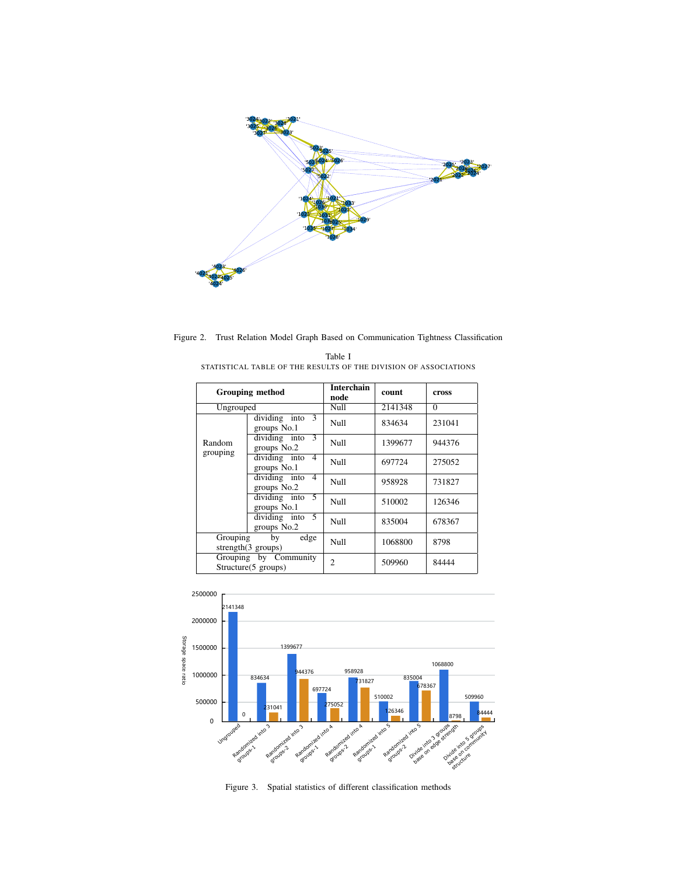

Figure 2. Trust Relation Model Graph Based on Communication Tightness Classification

| Grouping method                                         |                                                | <b>Interchain</b><br>node | count   | cross    |
|---------------------------------------------------------|------------------------------------------------|---------------------------|---------|----------|
| Ungrouped                                               |                                                | Null                      | 2141348 | $\Omega$ |
| Random<br>grouping                                      | $dividing$ into $3$<br>groups No.1             | Null                      | 834634  | 231041   |
|                                                         | $dividing$ into $3$<br>groups No.2             | Null                      | 1399677 | 944376   |
|                                                         | dividing into 4<br>groups No.1                 | Null                      | 697724  | 275052   |
|                                                         | dividing into<br>$\overline{4}$<br>groups No.2 | Null                      | 958928  | 731827   |
|                                                         | $dividing$ into $5$<br>groups No.1             | Null                      | 510002  | 126346   |
|                                                         | $dividing$ into $5$<br>groups No.2             | Null                      | 835004  | 678367   |
| Grouping<br>edge<br>by<br>strength $(3 \text{ groups})$ |                                                | Null                      | 1068800 | 8798     |
| Grouping by Community<br>Structure(5 groups)            |                                                | $\mathfrak{D}$            | 509960  | 84444    |

Table I STATISTICAL TABLE OF THE RESULTS OF THE DIVISION OF ASSOCIATIONS



Figure 3. Spatial statistics of different classification methods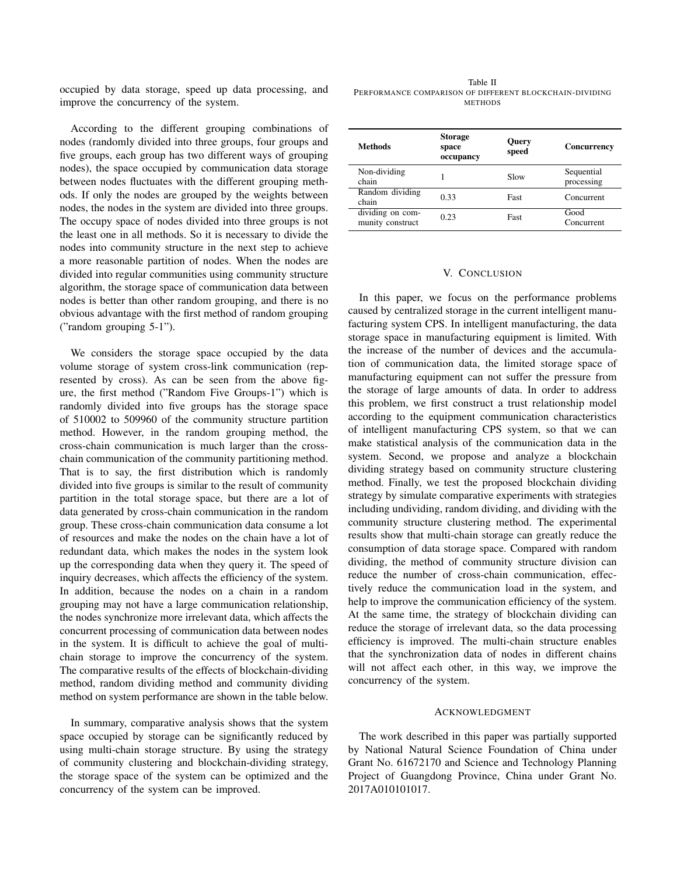occupied by data storage, speed up data processing, and improve the concurrency of the system.

According to the different grouping combinations of nodes (randomly divided into three groups, four groups and five groups, each group has two different ways of grouping nodes), the space occupied by communication data storage between nodes fluctuates with the different grouping methods. If only the nodes are grouped by the weights between nodes, the nodes in the system are divided into three groups. The occupy space of nodes divided into three groups is not the least one in all methods. So it is necessary to divide the nodes into community structure in the next step to achieve a more reasonable partition of nodes. When the nodes are divided into regular communities using community structure algorithm, the storage space of communication data between nodes is better than other random grouping, and there is no obvious advantage with the first method of random grouping ("random grouping 5-1").

We considers the storage space occupied by the data volume storage of system cross-link communication (represented by cross). As can be seen from the above figure, the first method ("Random Five Groups-1") which is randomly divided into five groups has the storage space of 510002 to 509960 of the community structure partition method. However, in the random grouping method, the cross-chain communication is much larger than the crosschain communication of the community partitioning method. That is to say, the first distribution which is randomly divided into five groups is similar to the result of community partition in the total storage space, but there are a lot of data generated by cross-chain communication in the random group. These cross-chain communication data consume a lot of resources and make the nodes on the chain have a lot of redundant data, which makes the nodes in the system look up the corresponding data when they query it. The speed of inquiry decreases, which affects the efficiency of the system. In addition, because the nodes on a chain in a random grouping may not have a large communication relationship, the nodes synchronize more irrelevant data, which affects the concurrent processing of communication data between nodes in the system. It is difficult to achieve the goal of multichain storage to improve the concurrency of the system. The comparative results of the effects of blockchain-dividing method, random dividing method and community dividing method on system performance are shown in the table below.

In summary, comparative analysis shows that the system space occupied by storage can be significantly reduced by using multi-chain storage structure. By using the strategy of community clustering and blockchain-dividing strategy, the storage space of the system can be optimized and the concurrency of the system can be improved.

| Table II                                                |                |  |  |  |  |
|---------------------------------------------------------|----------------|--|--|--|--|
| PERFORMANCE COMPARISON OF DIFFERENT BLOCKCHAIN-DIVIDING |                |  |  |  |  |
|                                                         | <b>METHODS</b> |  |  |  |  |

| <b>Methods</b>                       | <b>Storage</b><br>space<br>occupancy | Query<br>speed | Concurrency              |
|--------------------------------------|--------------------------------------|----------------|--------------------------|
| Non-dividing<br>chain                |                                      | Slow           | Sequential<br>processing |
| Random dividing<br>chain             | 0.33                                 | Fast           | Concurrent               |
| dividing on com-<br>munity construct | 0.23                                 | Fast           | Good<br>Concurrent       |

#### V. CONCLUSION

In this paper, we focus on the performance problems caused by centralized storage in the current intelligent manufacturing system CPS. In intelligent manufacturing, the data storage space in manufacturing equipment is limited. With the increase of the number of devices and the accumulation of communication data, the limited storage space of manufacturing equipment can not suffer the pressure from the storage of large amounts of data. In order to address this problem, we first construct a trust relationship model according to the equipment communication characteristics of intelligent manufacturing CPS system, so that we can make statistical analysis of the communication data in the system. Second, we propose and analyze a blockchain dividing strategy based on community structure clustering method. Finally, we test the proposed blockchain dividing strategy by simulate comparative experiments with strategies including undividing, random dividing, and dividing with the community structure clustering method. The experimental results show that multi-chain storage can greatly reduce the consumption of data storage space. Compared with random dividing, the method of community structure division can reduce the number of cross-chain communication, effectively reduce the communication load in the system, and help to improve the communication efficiency of the system. At the same time, the strategy of blockchain dividing can reduce the storage of irrelevant data, so the data processing efficiency is improved. The multi-chain structure enables that the synchronization data of nodes in different chains will not affect each other, in this way, we improve the concurrency of the system.

#### ACKNOWLEDGMENT

The work described in this paper was partially supported by National Natural Science Foundation of China under Grant No. 61672170 and Science and Technology Planning Project of Guangdong Province, China under Grant No. 2017A010101017.